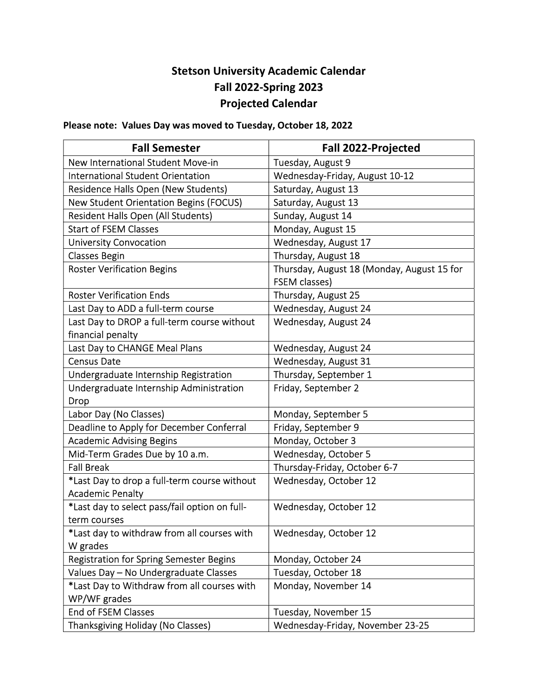## Stetson University Academic Calendar Fall 2022-Spring 2023 Projected Calendar

Please note: Values Day was moved to Tuesday, October 18, 2022

| <b>Fall Semester</b>                                                    | <b>Fall 2022-Projected</b>                                         |
|-------------------------------------------------------------------------|--------------------------------------------------------------------|
| New International Student Move-in                                       | Tuesday, August 9                                                  |
| <b>International Student Orientation</b>                                | Wednesday-Friday, August 10-12                                     |
| <b>Residence Halls Open (New Students)</b>                              | Saturday, August 13                                                |
| <b>New Student Orientation Begins (FOCUS)</b>                           | Saturday, August 13                                                |
| <b>Resident Halls Open (All Students)</b>                               | Sunday, August 14                                                  |
| <b>Start of FSEM Classes</b>                                            | Monday, August 15                                                  |
| <b>University Convocation</b>                                           | Wednesday, August 17                                               |
| <b>Classes Begin</b>                                                    | Thursday, August 18                                                |
| <b>Roster Verification Begins</b>                                       | Thursday, August 18 (Monday, August 15 for<br><b>FSEM classes)</b> |
| <b>Roster Verification Ends</b>                                         | Thursday, August 25                                                |
| Last Day to ADD a full-term course                                      | Wednesday, August 24                                               |
| Last Day to DROP a full-term course without<br>financial penalty        | Wednesday, August 24                                               |
| Last Day to CHANGE Meal Plans                                           | Wednesday, August 24                                               |
| <b>Census Date</b>                                                      | Wednesday, August 31                                               |
| Undergraduate Internship Registration                                   | Thursday, September 1                                              |
| Undergraduate Internship Administration                                 | Friday, September 2                                                |
| <b>Drop</b>                                                             |                                                                    |
| Labor Day (No Classes)                                                  | Monday, September 5                                                |
| Deadline to Apply for December Conferral                                | Friday, September 9                                                |
| <b>Academic Advising Begins</b>                                         | Monday, October 3                                                  |
| Mid-Term Grades Due by 10 a.m.                                          | Wednesday, October 5                                               |
| <b>Fall Break</b>                                                       | Thursday-Friday, October 6-7                                       |
| *Last Day to drop a full-term course without<br><b>Academic Penalty</b> | Wednesday, October 12                                              |
| *Last day to select pass/fail option on full-                           | Wednesday, October 12                                              |
| term courses                                                            |                                                                    |
| *Last day to withdraw from all courses with<br>W grades                 | Wednesday, October 12                                              |
| <b>Registration for Spring Semester Begins</b>                          | Monday, October 24                                                 |
| Values Day - No Undergraduate Classes                                   | Tuesday, October 18                                                |
| *Last Day to Withdraw from all courses with                             | Monday, November 14                                                |
| WP/WF grades                                                            |                                                                    |
| <b>End of FSEM Classes</b>                                              | Tuesday, November 15                                               |
| Thanksgiving Holiday (No Classes)                                       | Wednesday-Friday, November 23-25                                   |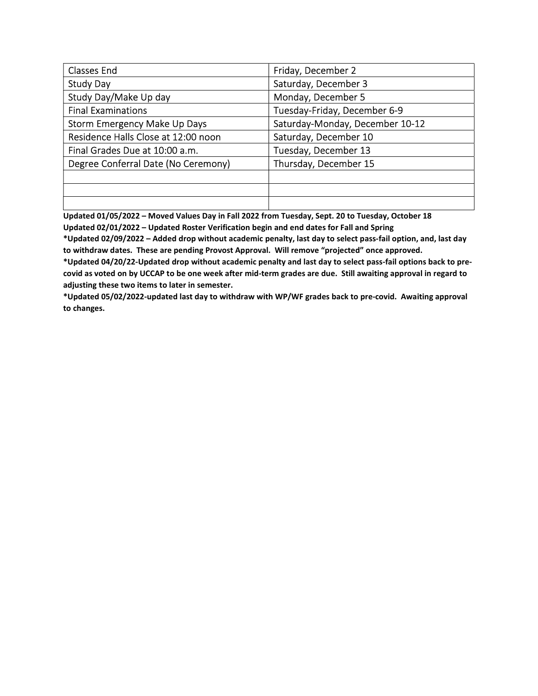| <b>Classes End</b>                  | Friday, December 2              |
|-------------------------------------|---------------------------------|
| <b>Study Day</b>                    | Saturday, December 3            |
| Study Day/Make Up day               | Monday, December 5              |
| <b>Final Examinations</b>           | Tuesday-Friday, December 6-9    |
| <b>Storm Emergency Make Up Days</b> | Saturday-Monday, December 10-12 |
| Residence Halls Close at 12:00 noon | Saturday, December 10           |
| Final Grades Due at 10:00 a.m.      | Tuesday, December 13            |
| Degree Conferral Date (No Ceremony) | Thursday, December 15           |
|                                     |                                 |
|                                     |                                 |
|                                     |                                 |

Updated 01/05/2022 – Moved Values Day in Fall 2022 from Tuesday, Sept. 20 to Tuesday, October 18 Updated 02/01/2022 – Updated Roster Verification begin and end dates for Fall and Spring

\*Updated 02/09/2022 – Added drop without academic penalty, last day to select pass-fail option, and, last day to withdraw dates. These are pending Provost Approval. Will remove "projected" once approved.

\*Updated 04/20/22-Updated drop without academic penalty and last day to select pass-fail options back to precovid as voted on by UCCAP to be one week after mid-term grades are due. Still awaiting approval in regard to adjusting these two items to later in semester.

\*Updated 05/02/2022-updated last day to withdraw with WP/WF grades back to pre-covid. Awaiting approval to changes.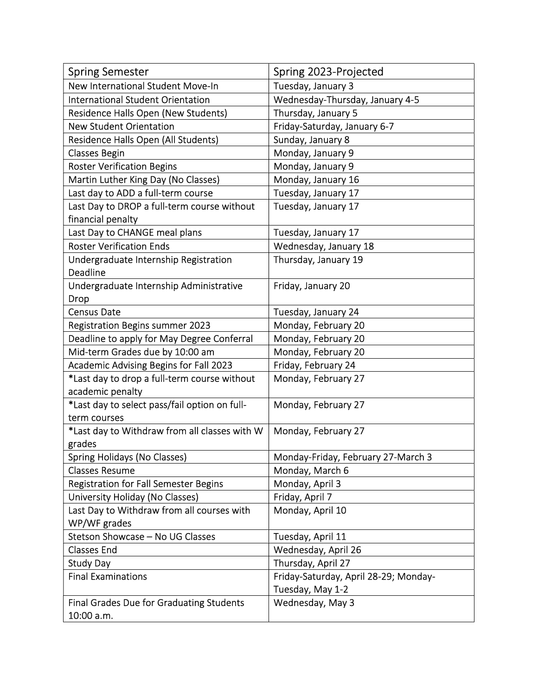| <b>Spring Semester</b>                        | Spring 2023-Projected                 |
|-----------------------------------------------|---------------------------------------|
| New International Student Move-In             | Tuesday, January 3                    |
| <b>International Student Orientation</b>      | Wednesday-Thursday, January 4-5       |
| <b>Residence Halls Open (New Students)</b>    | Thursday, January 5                   |
| <b>New Student Orientation</b>                | Friday-Saturday, January 6-7          |
| Residence Halls Open (All Students)           | Sunday, January 8                     |
| <b>Classes Begin</b>                          | Monday, January 9                     |
| <b>Roster Verification Begins</b>             | Monday, January 9                     |
| Martin Luther King Day (No Classes)           | Monday, January 16                    |
| Last day to ADD a full-term course            | Tuesday, January 17                   |
| Last Day to DROP a full-term course without   | Tuesday, January 17                   |
| financial penalty                             |                                       |
| Last Day to CHANGE meal plans                 | Tuesday, January 17                   |
| <b>Roster Verification Ends</b>               | Wednesday, January 18                 |
| Undergraduate Internship Registration         | Thursday, January 19                  |
| <b>Deadline</b>                               |                                       |
| Undergraduate Internship Administrative       | Friday, January 20                    |
| Drop                                          |                                       |
| <b>Census Date</b>                            | Tuesday, January 24                   |
| <b>Registration Begins summer 2023</b>        | Monday, February 20                   |
| Deadline to apply for May Degree Conferral    | Monday, February 20                   |
| Mid-term Grades due by 10:00 am               | Monday, February 20                   |
| Academic Advising Begins for Fall 2023        | Friday, February 24                   |
| *Last day to drop a full-term course without  | Monday, February 27                   |
| academic penalty                              |                                       |
| *Last day to select pass/fail option on full- | Monday, February 27                   |
| term courses                                  |                                       |
| *Last day to Withdraw from all classes with W | Monday, February 27                   |
| grades                                        |                                       |
| Spring Holidays (No Classes)                  | Monday-Friday, February 27-March 3    |
| <b>Classes Resume</b>                         | Monday, March 6                       |
| <b>Registration for Fall Semester Begins</b>  | Monday, April 3                       |
| University Holiday (No Classes)               | Friday, April 7                       |
| Last Day to Withdraw from all courses with    | Monday, April 10                      |
| WP/WF grades                                  |                                       |
| Stetson Showcase - No UG Classes              | Tuesday, April 11                     |
| <b>Classes End</b>                            | Wednesday, April 26                   |
| <b>Study Day</b>                              | Thursday, April 27                    |
| <b>Final Examinations</b>                     | Friday-Saturday, April 28-29; Monday- |
|                                               | Tuesday, May 1-2                      |
| Final Grades Due for Graduating Students      | Wednesday, May 3                      |
| 10:00 a.m.                                    |                                       |